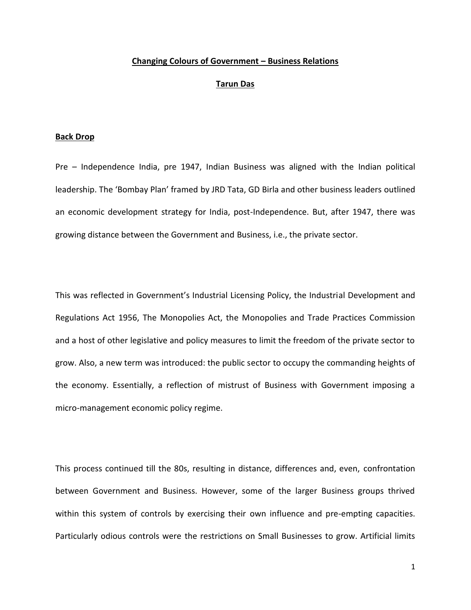## **Changing Colours of Government – Business Relations**

### **Tarun Das**

## **Back Drop**

Pre – Independence India, pre 1947, Indian Business was aligned with the Indian political leadership. The 'Bombay Plan' framed by JRD Tata, GD Birla and other business leaders outlined an economic development strategy for India, post-Independence. But, after 1947, there was growing distance between the Government and Business, i.e., the private sector.

This was reflected in Government's Industrial Licensing Policy, the Industrial Development and Regulations Act 1956, The Monopolies Act, the Monopolies and Trade Practices Commission and a host of other legislative and policy measures to limit the freedom of the private sector to grow. Also, a new term was introduced: the public sector to occupy the commanding heights of the economy. Essentially, a reflection of mistrust of Business with Government imposing a micro-management economic policy regime.

This process continued till the 80s, resulting in distance, differences and, even, confrontation between Government and Business. However, some of the larger Business groups thrived within this system of controls by exercising their own influence and pre-empting capacities. Particularly odious controls were the restrictions on Small Businesses to grow. Artificial limits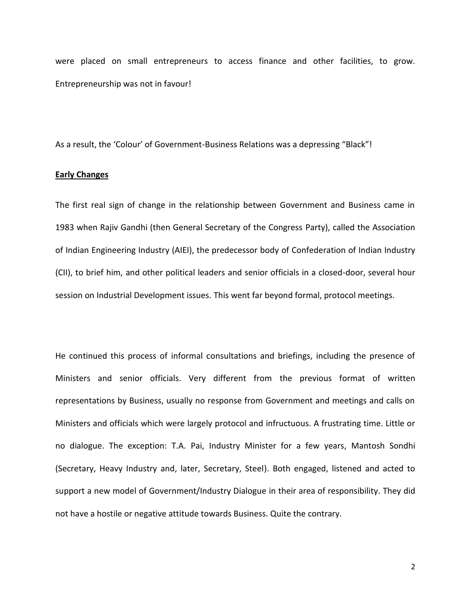were placed on small entrepreneurs to access finance and other facilities, to grow. Entrepreneurship was not in favour!

As a result, the 'Colour' of Government-Business Relations was a depressing "Black"!

# **Early Changes**

The first real sign of change in the relationship between Government and Business came in 1983 when Rajiv Gandhi (then General Secretary of the Congress Party), called the Association of Indian Engineering Industry (AIEI), the predecessor body of Confederation of Indian Industry (CII), to brief him, and other political leaders and senior officials in a closed-door, several hour session on Industrial Development issues. This went far beyond formal, protocol meetings.

He continued this process of informal consultations and briefings, including the presence of Ministers and senior officials. Very different from the previous format of written representations by Business, usually no response from Government and meetings and calls on Ministers and officials which were largely protocol and infructuous. A frustrating time. Little or no dialogue. The exception: T.A. Pai, Industry Minister for a few years, Mantosh Sondhi (Secretary, Heavy Industry and, later, Secretary, Steel). Both engaged, listened and acted to support a new model of Government/Industry Dialogue in their area of responsibility. They did not have a hostile or negative attitude towards Business. Quite the contrary.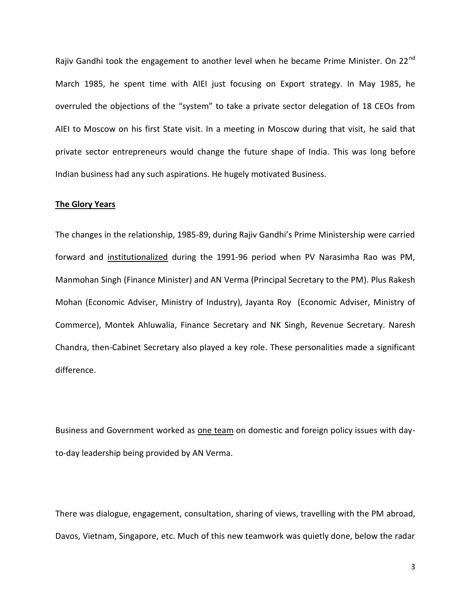Rajiv Gandhi took the engagement to another level when he became Prime Minister. On 22<sup>nd</sup> March 1985, he spent time with AIEI just focusing on Export strategy. In May 1985, he overruled the objections of the "system" to take a private sector delegation of 18 CEOs from AIEI to Moscow on his first State visit. In a meeting in Moscow during that visit, he said that private sector entrepreneurs would change the future shape of India. This was long before Indian business had any such aspirations. He hugely motivated Business.

## **The Glory Years**

The changes in the relationship, 1985-89, during Rajiv Gandhi's Prime Ministership were carried forward and institutionalized during the 1991-96 period when PV Narasimha Rao was PM, Manmohan Singh (Finance Minister) and AN Verma (Principal Secretary to the PM). Plus Rakesh Mohan (Economic Adviser, Ministry of Industry), Jayanta Roy (Economic Adviser, Ministry of Commerce), Montek Ahluwalia, Finance Secretary and NK Singh, Revenue Secretary. Naresh Chandra, then-Cabinet Secretary also played a key role. These personalities made a significant difference.

Business and Government worked as one team on domestic and foreign policy issues with dayto-day leadership being provided by AN Verma.

There was dialogue, engagement, consultation, sharing of views, travelling with the PM abroad, Davos, Vietnam, Singapore, etc. Much of this new teamwork was quietly done, below the radar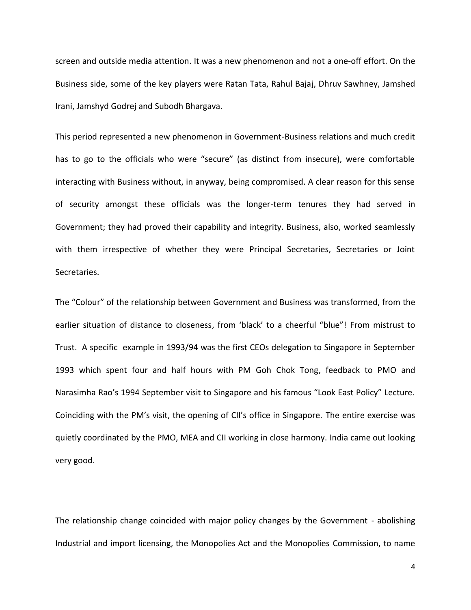screen and outside media attention. It was a new phenomenon and not a one-off effort. On the Business side, some of the key players were Ratan Tata, Rahul Bajaj, Dhruv Sawhney, Jamshed Irani, Jamshyd Godrej and Subodh Bhargava.

This period represented a new phenomenon in Government-Business relations and much credit has to go to the officials who were "secure" (as distinct from insecure), were comfortable interacting with Business without, in anyway, being compromised. A clear reason for this sense of security amongst these officials was the longer-term tenures they had served in Government; they had proved their capability and integrity. Business, also, worked seamlessly with them irrespective of whether they were Principal Secretaries, Secretaries or Joint Secretaries.

The "Colour" of the relationship between Government and Business was transformed, from the earlier situation of distance to closeness, from 'black' to a cheerful "blue"! From mistrust to Trust. A specific example in 1993/94 was the first CEOs delegation to Singapore in September 1993 which spent four and half hours with PM Goh Chok Tong, feedback to PMO and Narasimha Rao's 1994 September visit to Singapore and his famous "Look East Policy" Lecture. Coinciding with the PM's visit, the opening of CII's office in Singapore. The entire exercise was quietly coordinated by the PMO, MEA and CII working in close harmony. India came out looking very good.

The relationship change coincided with major policy changes by the Government - abolishing Industrial and import licensing, the Monopolies Act and the Monopolies Commission, to name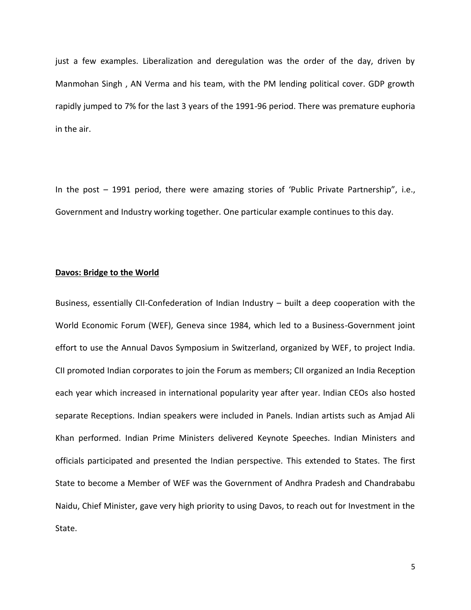just a few examples. Liberalization and deregulation was the order of the day, driven by Manmohan Singh , AN Verma and his team, with the PM lending political cover. GDP growth rapidly jumped to 7% for the last 3 years of the 1991-96 period. There was premature euphoria in the air.

In the post – 1991 period, there were amazing stories of 'Public Private Partnership", i.e., Government and Industry working together. One particular example continues to this day.

# **Davos: Bridge to the World**

Business, essentially CII-Confederation of Indian Industry – built a deep cooperation with the World Economic Forum (WEF), Geneva since 1984, which led to a Business-Government joint effort to use the Annual Davos Symposium in Switzerland, organized by WEF, to project India. CII promoted Indian corporates to join the Forum as members; CII organized an India Reception each year which increased in international popularity year after year. Indian CEOs also hosted separate Receptions. Indian speakers were included in Panels. Indian artists such as Amjad Ali Khan performed. Indian Prime Ministers delivered Keynote Speeches. Indian Ministers and officials participated and presented the Indian perspective. This extended to States. The first State to become a Member of WEF was the Government of Andhra Pradesh and Chandrababu Naidu, Chief Minister, gave very high priority to using Davos, to reach out for Investment in the State.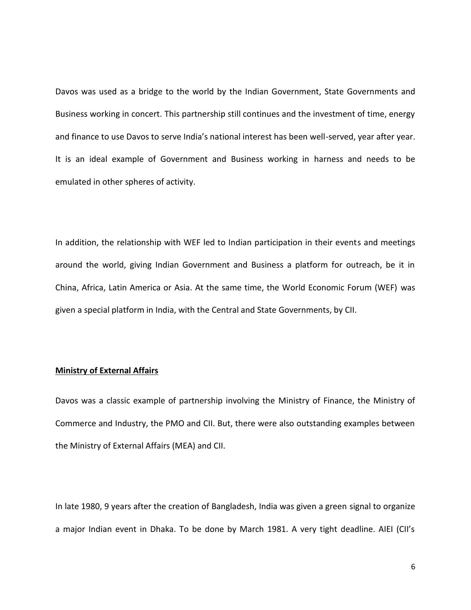Davos was used as a bridge to the world by the Indian Government, State Governments and Business working in concert. This partnership still continues and the investment of time, energy and finance to use Davos to serve India's national interest has been well-served, year after year. It is an ideal example of Government and Business working in harness and needs to be emulated in other spheres of activity.

In addition, the relationship with WEF led to Indian participation in their events and meetings around the world, giving Indian Government and Business a platform for outreach, be it in China, Africa, Latin America or Asia. At the same time, the World Economic Forum (WEF) was given a special platform in India, with the Central and State Governments, by CII.

## **Ministry of External Affairs**

Davos was a classic example of partnership involving the Ministry of Finance, the Ministry of Commerce and Industry, the PMO and CII. But, there were also outstanding examples between the Ministry of External Affairs (MEA) and CII.

In late 1980, 9 years after the creation of Bangladesh, India was given a green signal to organize a major Indian event in Dhaka. To be done by March 1981. A very tight deadline. AIEI (CII's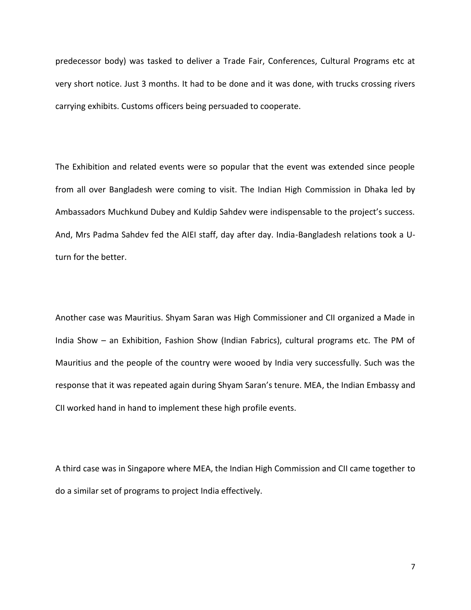predecessor body) was tasked to deliver a Trade Fair, Conferences, Cultural Programs etc at very short notice. Just 3 months. It had to be done and it was done, with trucks crossing rivers carrying exhibits. Customs officers being persuaded to cooperate.

The Exhibition and related events were so popular that the event was extended since people from all over Bangladesh were coming to visit. The Indian High Commission in Dhaka led by Ambassadors Muchkund Dubey and Kuldip Sahdev were indispensable to the project's success. And, Mrs Padma Sahdev fed the AIEI staff, day after day. India-Bangladesh relations took a Uturn for the better.

Another case was Mauritius. Shyam Saran was High Commissioner and CII organized a Made in India Show – an Exhibition, Fashion Show (Indian Fabrics), cultural programs etc. The PM of Mauritius and the people of the country were wooed by India very successfully. Such was the response that it was repeated again during Shyam Saran's tenure. MEA, the Indian Embassy and CII worked hand in hand to implement these high profile events.

A third case was in Singapore where MEA, the Indian High Commission and CII came together to do a similar set of programs to project India effectively.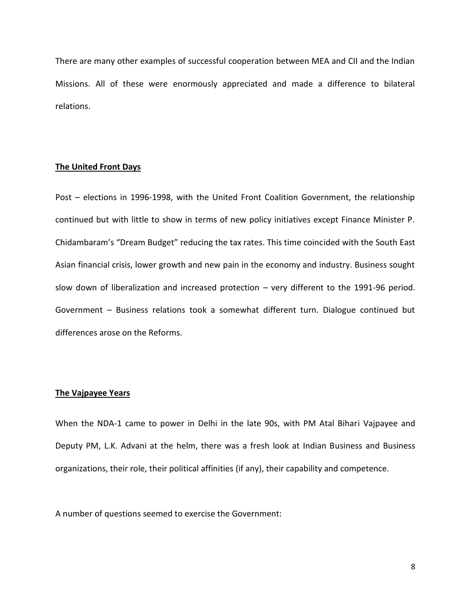There are many other examples of successful cooperation between MEA and CII and the Indian Missions. All of these were enormously appreciated and made a difference to bilateral relations.

### **The United Front Days**

Post – elections in 1996-1998, with the United Front Coalition Government, the relationship continued but with little to show in terms of new policy initiatives except Finance Minister P. Chidambaram's "Dream Budget" reducing the tax rates. This time coincided with the South East Asian financial crisis, lower growth and new pain in the economy and industry. Business sought slow down of liberalization and increased protection – very different to the 1991-96 period. Government – Business relations took a somewhat different turn. Dialogue continued but differences arose on the Reforms.

# **The Vajpayee Years**

When the NDA-1 came to power in Delhi in the late 90s, with PM Atal Bihari Vajpayee and Deputy PM, L.K. Advani at the helm, there was a fresh look at Indian Business and Business organizations, their role, their political affinities (if any), their capability and competence.

A number of questions seemed to exercise the Government: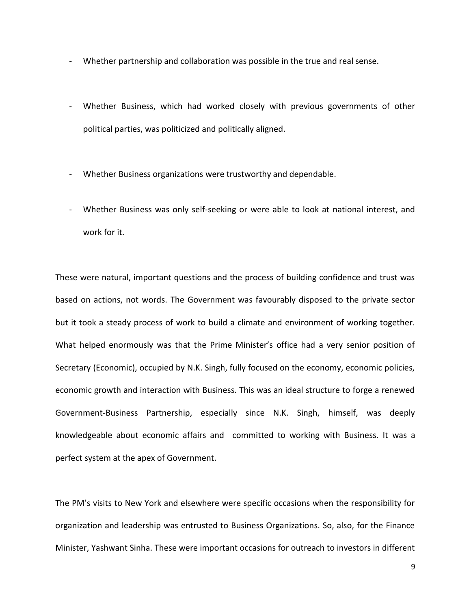- Whether partnership and collaboration was possible in the true and real sense.
- Whether Business, which had worked closely with previous governments of other political parties, was politicized and politically aligned.
- Whether Business organizations were trustworthy and dependable.
- Whether Business was only self-seeking or were able to look at national interest, and work for it.

These were natural, important questions and the process of building confidence and trust was based on actions, not words. The Government was favourably disposed to the private sector but it took a steady process of work to build a climate and environment of working together. What helped enormously was that the Prime Minister's office had a very senior position of Secretary (Economic), occupied by N.K. Singh, fully focused on the economy, economic policies, economic growth and interaction with Business. This was an ideal structure to forge a renewed Government-Business Partnership, especially since N.K. Singh, himself, was deeply knowledgeable about economic affairs and committed to working with Business. It was a perfect system at the apex of Government.

The PM's visits to New York and elsewhere were specific occasions when the responsibility for organization and leadership was entrusted to Business Organizations. So, also, for the Finance Minister, Yashwant Sinha. These were important occasions for outreach to investors in different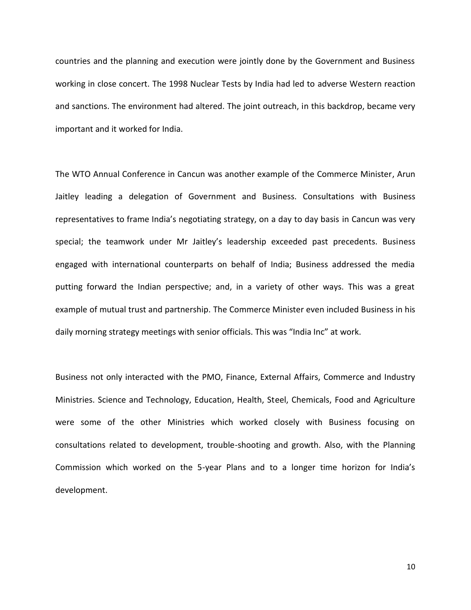countries and the planning and execution were jointly done by the Government and Business working in close concert. The 1998 Nuclear Tests by India had led to adverse Western reaction and sanctions. The environment had altered. The joint outreach, in this backdrop, became very important and it worked for India.

The WTO Annual Conference in Cancun was another example of the Commerce Minister, Arun Jaitley leading a delegation of Government and Business. Consultations with Business representatives to frame India's negotiating strategy, on a day to day basis in Cancun was very special; the teamwork under Mr Jaitley's leadership exceeded past precedents. Business engaged with international counterparts on behalf of India; Business addressed the media putting forward the Indian perspective; and, in a variety of other ways. This was a great example of mutual trust and partnership. The Commerce Minister even included Business in his daily morning strategy meetings with senior officials. This was "India Inc" at work.

Business not only interacted with the PMO, Finance, External Affairs, Commerce and Industry Ministries. Science and Technology, Education, Health, Steel, Chemicals, Food and Agriculture were some of the other Ministries which worked closely with Business focusing on consultations related to development, trouble-shooting and growth. Also, with the Planning Commission which worked on the 5-year Plans and to a longer time horizon for India's development.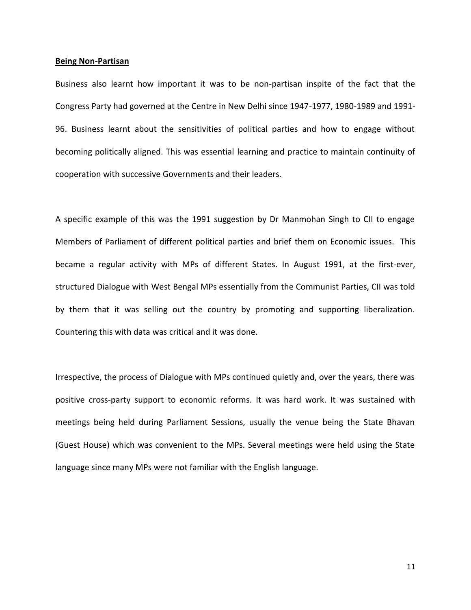### **Being Non-Partisan**

Business also learnt how important it was to be non-partisan inspite of the fact that the Congress Party had governed at the Centre in New Delhi since 1947-1977, 1980-1989 and 1991- 96. Business learnt about the sensitivities of political parties and how to engage without becoming politically aligned. This was essential learning and practice to maintain continuity of cooperation with successive Governments and their leaders.

A specific example of this was the 1991 suggestion by Dr Manmohan Singh to CII to engage Members of Parliament of different political parties and brief them on Economic issues. This became a regular activity with MPs of different States. In August 1991, at the first-ever, structured Dialogue with West Bengal MPs essentially from the Communist Parties, CII was told by them that it was selling out the country by promoting and supporting liberalization. Countering this with data was critical and it was done.

Irrespective, the process of Dialogue with MPs continued quietly and, over the years, there was positive cross-party support to economic reforms. It was hard work. It was sustained with meetings being held during Parliament Sessions, usually the venue being the State Bhavan (Guest House) which was convenient to the MPs. Several meetings were held using the State language since many MPs were not familiar with the English language.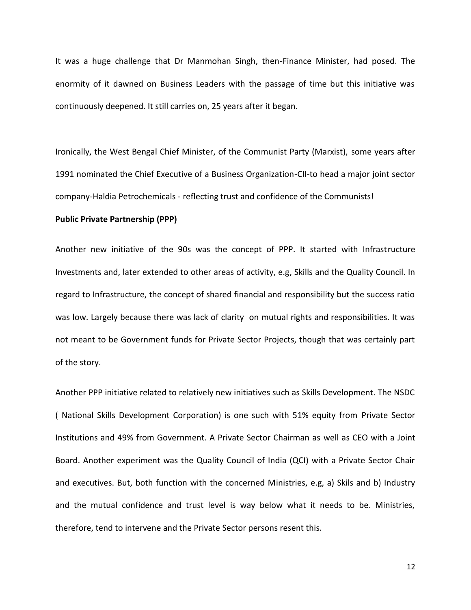It was a huge challenge that Dr Manmohan Singh, then-Finance Minister, had posed. The enormity of it dawned on Business Leaders with the passage of time but this initiative was continuously deepened. It still carries on, 25 years after it began.

Ironically, the West Bengal Chief Minister, of the Communist Party (Marxist), some years after 1991 nominated the Chief Executive of a Business Organization-CII-to head a major joint sector company-Haldia Petrochemicals - reflecting trust and confidence of the Communists!

### **Public Private Partnership (PPP)**

Another new initiative of the 90s was the concept of PPP. It started with Infrastructure Investments and, later extended to other areas of activity, e.g, Skills and the Quality Council. In regard to Infrastructure, the concept of shared financial and responsibility but the success ratio was low. Largely because there was lack of clarity on mutual rights and responsibilities. It was not meant to be Government funds for Private Sector Projects, though that was certainly part of the story.

Another PPP initiative related to relatively new initiatives such as Skills Development. The NSDC ( National Skills Development Corporation) is one such with 51% equity from Private Sector Institutions and 49% from Government. A Private Sector Chairman as well as CEO with a Joint Board. Another experiment was the Quality Council of India (QCI) with a Private Sector Chair and executives. But, both function with the concerned Ministries, e.g, a) Skils and b) Industry and the mutual confidence and trust level is way below what it needs to be. Ministries, therefore, tend to intervene and the Private Sector persons resent this.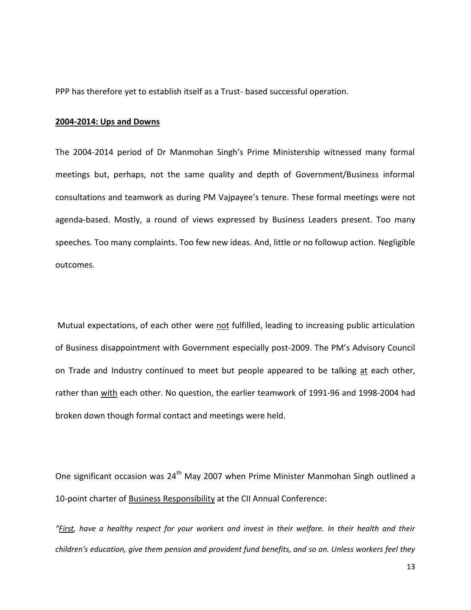PPP has therefore yet to establish itself as a Trust- based successful operation.

### **2004-2014: Ups and Downs**

The 2004-2014 period of Dr Manmohan Singh's Prime Ministership witnessed many formal meetings but, perhaps, not the same quality and depth of Government/Business informal consultations and teamwork as during PM Vajpayee's tenure. These formal meetings were not agenda-based. Mostly, a round of views expressed by Business Leaders present. Too many speeches. Too many complaints. Too few new ideas. And, little or no followup action. Negligible outcomes.

Mutual expectations, of each other were not fulfilled, leading to increasing public articulation of Business disappointment with Government especially post-2009. The PM's Advisory Council on Trade and Industry continued to meet but people appeared to be talking at each other, rather than with each other. No question, the earlier teamwork of 1991-96 and 1998-2004 had broken down though formal contact and meetings were held.

One significant occasion was 24<sup>th</sup> May 2007 when Prime Minister Manmohan Singh outlined a 10-point charter of Business Responsibility at the CII Annual Conference:

*"First, have a healthy respect for your workers and invest in their welfare. In their health and their children's education, give them pension and provident fund benefits, and so on. Unless workers feel they*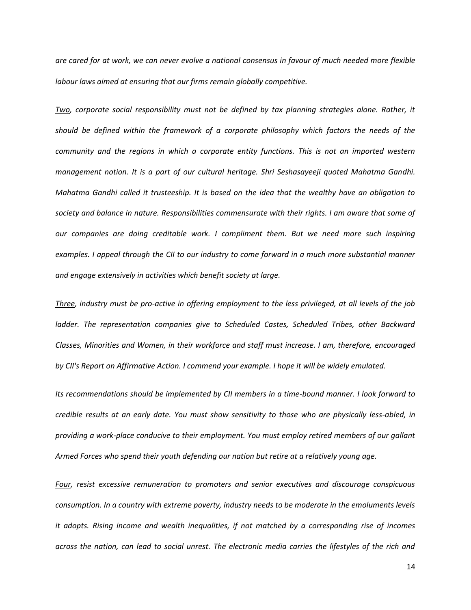*are cared for at work, we can never evolve a national consensus in favour of much needed more flexible labour laws aimed at ensuring that our firms remain globally competitive.*

*Two, corporate social responsibility must not be defined by tax planning strategies alone. Rather, it should be defined within the framework of a corporate philosophy which factors the needs of the community and the regions in which a corporate entity functions. This is not an imported western management notion. It is a part of our cultural heritage. Shri Seshasayeeji quoted Mahatma Gandhi. Mahatma Gandhi called it trusteeship. It is based on the idea that the wealthy have an obligation to society and balance in nature. Responsibilities commensurate with their rights. I am aware that some of our companies are doing creditable work. I compliment them. But we need more such inspiring examples. I appeal through the CII to our industry to come forward in a much more substantial manner and engage extensively in activities which benefit society at large.*

*Three, industry must be pro-active in offering employment to the less privileged, at all levels of the job ladder. The representation companies give to Scheduled Castes, Scheduled Tribes, other Backward Classes, Minorities and Women, in their workforce and staff must increase. I am, therefore, encouraged by CII's Report on Affirmative Action. I commend your example. I hope it will be widely emulated.*

*Its recommendations should be implemented by CII members in a time-bound manner. I look forward to credible results at an early date. You must show sensitivity to those who are physically less-abled, in providing a work-place conducive to their employment. You must employ retired members of our gallant Armed Forces who spend their youth defending our nation but retire at a relatively young age.*

*Four, resist excessive remuneration to promoters and senior executives and discourage conspicuous consumption. In a country with extreme poverty, industry needs to be moderate in the emoluments levels it adopts. Rising income and wealth inequalities, if not matched by a corresponding rise of incomes across the nation, can lead to social unrest. The electronic media carries the lifestyles of the rich and*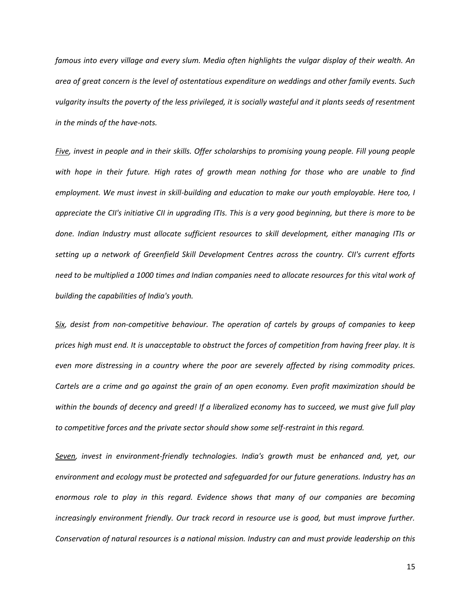*famous into every village and every slum. Media often highlights the vulgar display of their wealth. An area of great concern is the level of ostentatious expenditure on weddings and other family events. Such vulgarity insults the poverty of the less privileged, it is socially wasteful and it plants seeds of resentment in the minds of the have-nots.*

*Five, invest in people and in their skills. Offer scholarships to promising young people. Fill young people with hope in their future. High rates of growth mean nothing for those who are unable to find employment. We must invest in skill-building and education to make our youth employable. Here too, I appreciate the CII's initiative CII in upgrading ITIs. This is a very good beginning, but there is more to be done. Indian Industry must allocate sufficient resources to skill development, either managing ITIs or setting up a network of Greenfield Skill Development Centres across the country. CII's current efforts need to be multiplied a 1000 times and Indian companies need to allocate resources for this vital work of building the capabilities of India's youth.*

*Six, desist from non-competitive behaviour. The operation of cartels by groups of companies to keep prices high must end. It is unacceptable to obstruct the forces of competition from having freer play. It is even more distressing in a country where the poor are severely affected by rising commodity prices. Cartels are a crime and go against the grain of an open economy. Even profit maximization should be within the bounds of decency and greed! If a liberalized economy has to succeed, we must give full play to competitive forces and the private sector should show some self-restraint in this regard.*

*Seven, invest in environment-friendly technologies. India's growth must be enhanced and, yet, our environment and ecology must be protected and safeguarded for our future generations. Industry has an enormous role to play in this regard. Evidence shows that many of our companies are becoming increasingly environment friendly. Our track record in resource use is good, but must improve further. Conservation of natural resources is a national mission. Industry can and must provide leadership on this*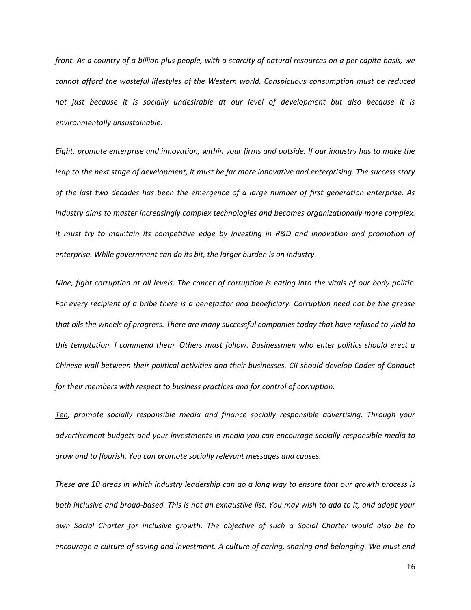*front. As a country of a billion plus people, with a scarcity of natural resources on a per capita basis, we cannot afford the wasteful lifestyles of the Western world. Conspicuous consumption must be reduced not just because it is socially undesirable at our level of development but also because it is environmentally unsustainable.*

*Eight, promote enterprise and innovation, within your firms and outside. If our industry has to make the leap to the next stage of development, it must be far more innovative and enterprising. The success story of the last two decades has been the emergence of a large number of first generation enterprise. As industry aims to master increasingly complex technologies and becomes organizationally more complex, it must try to maintain its competitive edge by investing in R&D and innovation and promotion of enterprise. While government can do its bit, the larger burden is on industry.*

*Nine, fight corruption at all levels. The cancer of corruption is eating into the vitals of our body politic. For every recipient of a bribe there is a benefactor and beneficiary. Corruption need not be the grease that oils the wheels of progress. There are many successful companies today that have refused to yield to this temptation. I commend them. Others must follow. Businessmen who enter politics should erect a Chinese wall between their political activities and their businesses. CII should develop Codes of Conduct for their members with respect to business practices and for control of corruption.*

*Ten, promote socially responsible media and finance socially responsible advertising. Through your advertisement budgets and your investments in media you can encourage socially responsible media to grow and to flourish. You can promote socially relevant messages and causes.*

*These are 10 areas in which industry leadership can go a long way to ensure that our growth process is both inclusive and broad-based. This is not an exhaustive list. You may wish to add to it, and adopt your own Social Charter for inclusive growth. The objective of such a Social Charter would also be to encourage a culture of saving and investment. A culture of caring, sharing and belonging. We must end*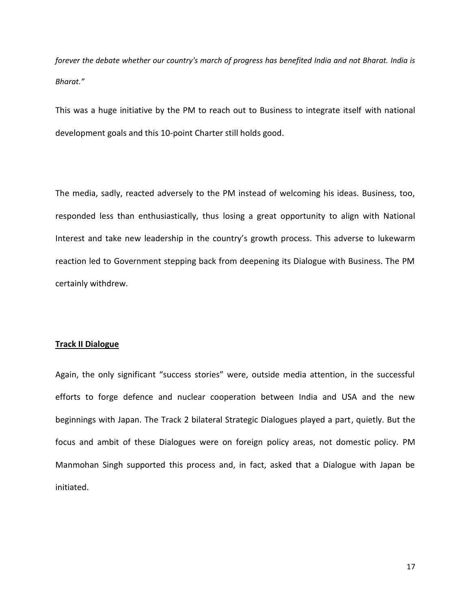*forever the debate whether our country's march of progress has benefited India and not Bharat. India is Bharat."*

This was a huge initiative by the PM to reach out to Business to integrate itself with national development goals and this 10-point Charter still holds good.

The media, sadly, reacted adversely to the PM instead of welcoming his ideas. Business, too, responded less than enthusiastically, thus losing a great opportunity to align with National Interest and take new leadership in the country's growth process. This adverse to lukewarm reaction led to Government stepping back from deepening its Dialogue with Business. The PM certainly withdrew.

# **Track II Dialogue**

Again, the only significant "success stories" were, outside media attention, in the successful efforts to forge defence and nuclear cooperation between India and USA and the new beginnings with Japan. The Track 2 bilateral Strategic Dialogues played a part, quietly. But the focus and ambit of these Dialogues were on foreign policy areas, not domestic policy. PM Manmohan Singh supported this process and, in fact, asked that a Dialogue with Japan be initiated.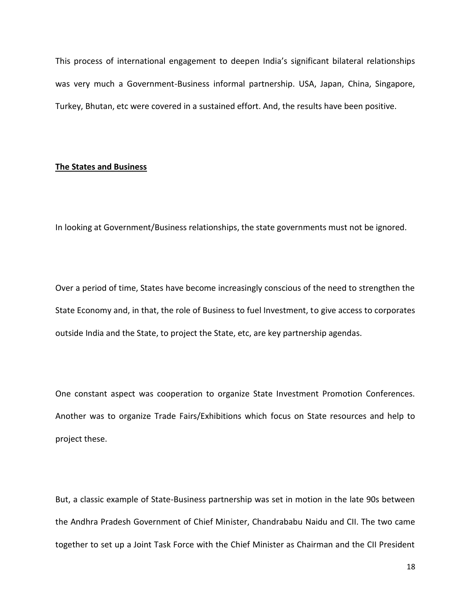This process of international engagement to deepen India's significant bilateral relationships was very much a Government-Business informal partnership. USA, Japan, China, Singapore, Turkey, Bhutan, etc were covered in a sustained effort. And, the results have been positive.

### **The States and Business**

In looking at Government/Business relationships, the state governments must not be ignored.

Over a period of time, States have become increasingly conscious of the need to strengthen the State Economy and, in that, the role of Business to fuel Investment, to give access to corporates outside India and the State, to project the State, etc, are key partnership agendas.

One constant aspect was cooperation to organize State Investment Promotion Conferences. Another was to organize Trade Fairs/Exhibitions which focus on State resources and help to project these.

But, a classic example of State-Business partnership was set in motion in the late 90s between the Andhra Pradesh Government of Chief Minister, Chandrababu Naidu and CII. The two came together to set up a Joint Task Force with the Chief Minister as Chairman and the CII President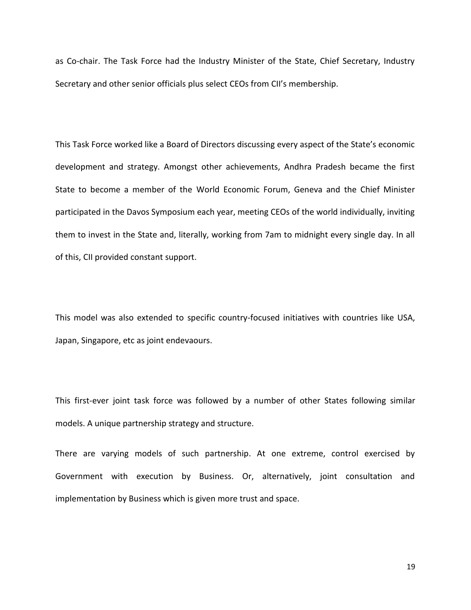as Co-chair. The Task Force had the Industry Minister of the State, Chief Secretary, Industry Secretary and other senior officials plus select CEOs from CII's membership.

This Task Force worked like a Board of Directors discussing every aspect of the State's economic development and strategy. Amongst other achievements, Andhra Pradesh became the first State to become a member of the World Economic Forum, Geneva and the Chief Minister participated in the Davos Symposium each year, meeting CEOs of the world individually, inviting them to invest in the State and, literally, working from 7am to midnight every single day. In all of this, CII provided constant support.

This model was also extended to specific country-focused initiatives with countries like USA, Japan, Singapore, etc as joint endevaours.

This first-ever joint task force was followed by a number of other States following similar models. A unique partnership strategy and structure.

There are varying models of such partnership. At one extreme, control exercised by Government with execution by Business. Or, alternatively, joint consultation and implementation by Business which is given more trust and space.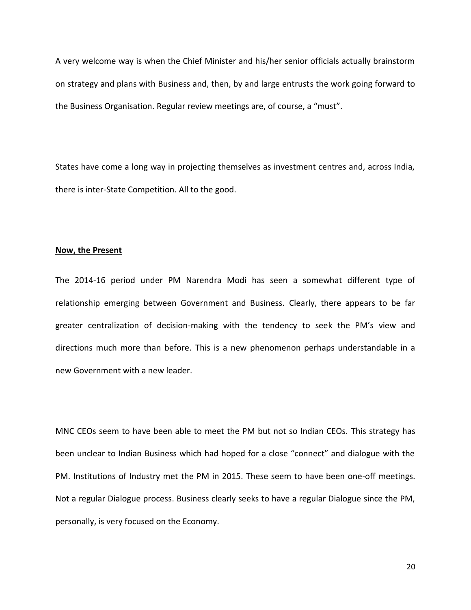A very welcome way is when the Chief Minister and his/her senior officials actually brainstorm on strategy and plans with Business and, then, by and large entrusts the work going forward to the Business Organisation. Regular review meetings are, of course, a "must".

States have come a long way in projecting themselves as investment centres and, across India, there is inter-State Competition. All to the good.

### **Now, the Present**

The 2014-16 period under PM Narendra Modi has seen a somewhat different type of relationship emerging between Government and Business. Clearly, there appears to be far greater centralization of decision-making with the tendency to seek the PM's view and directions much more than before. This is a new phenomenon perhaps understandable in a new Government with a new leader.

MNC CEOs seem to have been able to meet the PM but not so Indian CEOs. This strategy has been unclear to Indian Business which had hoped for a close "connect" and dialogue with the PM. Institutions of Industry met the PM in 2015. These seem to have been one-off meetings. Not a regular Dialogue process. Business clearly seeks to have a regular Dialogue since the PM, personally, is very focused on the Economy.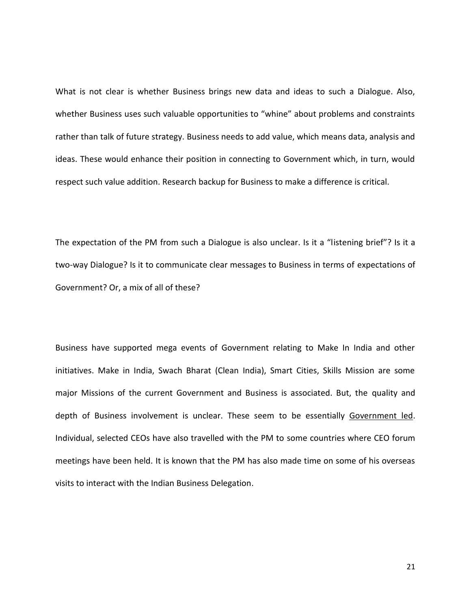What is not clear is whether Business brings new data and ideas to such a Dialogue. Also, whether Business uses such valuable opportunities to "whine" about problems and constraints rather than talk of future strategy. Business needs to add value, which means data, analysis and ideas. These would enhance their position in connecting to Government which, in turn, would respect such value addition. Research backup for Business to make a difference is critical.

The expectation of the PM from such a Dialogue is also unclear. Is it a "listening brief"? Is it a two-way Dialogue? Is it to communicate clear messages to Business in terms of expectations of Government? Or, a mix of all of these?

Business have supported mega events of Government relating to Make In India and other initiatives. Make in India, Swach Bharat (Clean India), Smart Cities, Skills Mission are some major Missions of the current Government and Business is associated. But, the quality and depth of Business involvement is unclear. These seem to be essentially Government led. Individual, selected CEOs have also travelled with the PM to some countries where CEO forum meetings have been held. It is known that the PM has also made time on some of his overseas visits to interact with the Indian Business Delegation.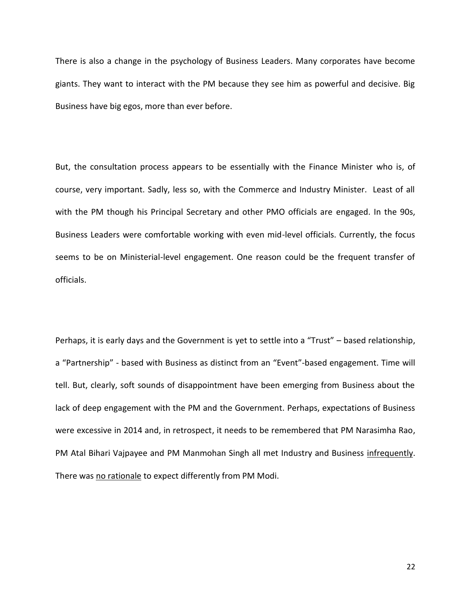There is also a change in the psychology of Business Leaders. Many corporates have become giants. They want to interact with the PM because they see him as powerful and decisive. Big Business have big egos, more than ever before.

But, the consultation process appears to be essentially with the Finance Minister who is, of course, very important. Sadly, less so, with the Commerce and Industry Minister. Least of all with the PM though his Principal Secretary and other PMO officials are engaged. In the 90s, Business Leaders were comfortable working with even mid-level officials. Currently, the focus seems to be on Ministerial-level engagement. One reason could be the frequent transfer of officials.

Perhaps, it is early days and the Government is yet to settle into a "Trust" – based relationship, a "Partnership" - based with Business as distinct from an "Event"-based engagement. Time will tell. But, clearly, soft sounds of disappointment have been emerging from Business about the lack of deep engagement with the PM and the Government. Perhaps, expectations of Business were excessive in 2014 and, in retrospect, it needs to be remembered that PM Narasimha Rao, PM Atal Bihari Vajpayee and PM Manmohan Singh all met Industry and Business infrequently. There was no rationale to expect differently from PM Modi.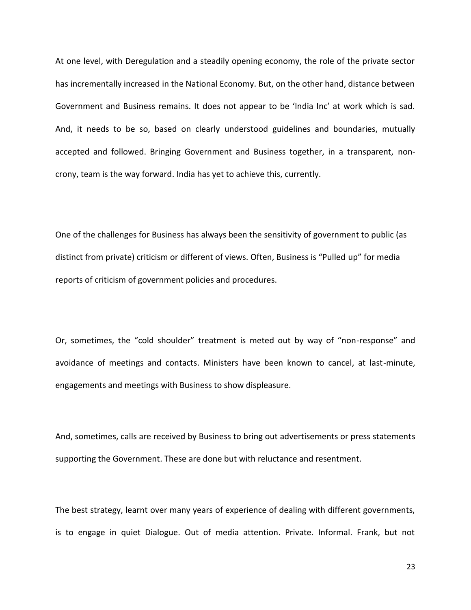At one level, with Deregulation and a steadily opening economy, the role of the private sector has incrementally increased in the National Economy. But, on the other hand, distance between Government and Business remains. It does not appear to be 'India Inc' at work which is sad. And, it needs to be so, based on clearly understood guidelines and boundaries, mutually accepted and followed. Bringing Government and Business together, in a transparent, non crony, team is the way forward. India has yet to achieve this, currently.

One of the challenges for Business has always been the sensitivity of government to public (as distinct from private) criticism or different of views. Often, Business is "Pulled up" for media reports of criticism of government policies and procedures.

Or, sometimes, the "cold shoulder" treatment is meted out by way of "non-response" and avoidance of meetings and contacts. Ministers have been known to cancel, at last-minute, engagements and meetings with Business to show displeasure.

And, sometimes, calls are received by Business to bring out advertisements or press statements supporting the Government. These are done but with reluctance and resentment.

The best strategy, learnt over many years of experience of dealing with different governments, is to engage in quiet Dialogue. Out of media attention. Private. Informal. Frank, but not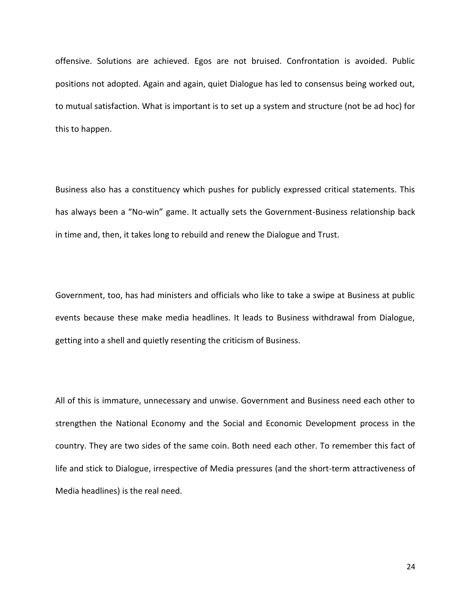offensive. Solutions are achieved. Egos are not bruised. Confrontation is avoided. Public positions not adopted. Again and again, quiet Dialogue has led to consensus being worked out, to mutual satisfaction. What is important is to set up a system and structure (not be ad hoc) for this to happen.

Business also has a constituency which pushes for publicly expressed critical statements. This has always been a "No-win" game. It actually sets the Government-Business relationship back in time and, then, it takes long to rebuild and renew the Dialogue and Trust.

Government, too, has had ministers and officials who like to take a swipe at Business at public events because these make media headlines. It leads to Business withdrawal from Dialogue, getting into a shell and quietly resenting the criticism of Business.

All of this is immature, unnecessary and unwise. Government and Business need each other to strengthen the National Economy and the Social and Economic Development process in the country. They are two sides of the same coin. Both need each other. To remember this fact of life and stick to Dialogue, irrespective of Media pressures (and the short-term attractiveness of Media headlines) is the real need.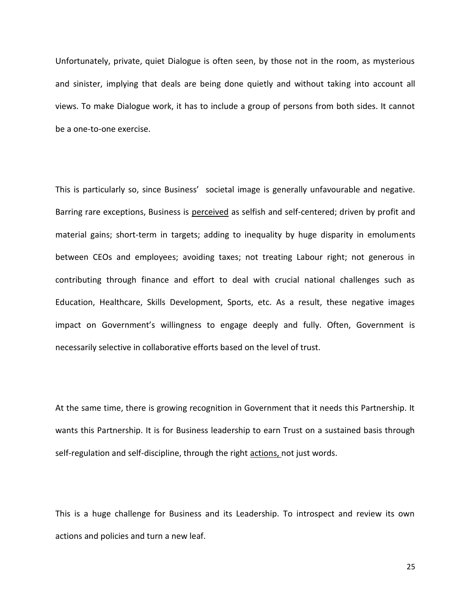Unfortunately, private, quiet Dialogue is often seen, by those not in the room, as mysterious and sinister, implying that deals are being done quietly and without taking into account all views. To make Dialogue work, it has to include a group of persons from both sides. It cannot be a one-to-one exercise.

This is particularly so, since Business' societal image is generally unfavourable and negative. Barring rare exceptions, Business is perceived as selfish and self-centered; driven by profit and material gains; short-term in targets; adding to inequality by huge disparity in emoluments between CEOs and employees; avoiding taxes; not treating Labour right; not generous in contributing through finance and effort to deal with crucial national challenges such as Education, Healthcare, Skills Development, Sports, etc. As a result, these negative images impact on Government's willingness to engage deeply and fully. Often, Government is necessarily selective in collaborative efforts based on the level of trust.

At the same time, there is growing recognition in Government that it needs this Partnership. It wants this Partnership. It is for Business leadership to earn Trust on a sustained basis through self-regulation and self-discipline, through the right actions, not just words.

This is a huge challenge for Business and its Leadership. To introspect and review its own actions and policies and turn a new leaf.